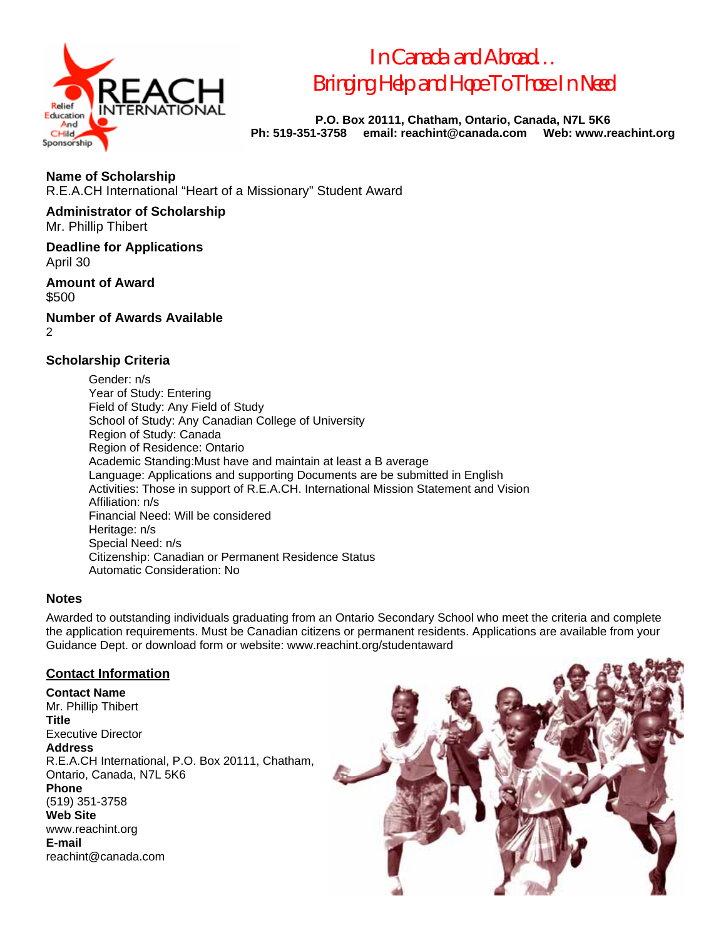

*In Canada and Abroad… Bringing Help and Hope To Those In Need* 

**P.O. Box 20111, Chatham, Ontario, Canada, N7L 5K6 Ph: 519-351-3758 email: reachint@canada.com Web: www.reachint.org** 

**Name of Scholarship**  R.E.A.CH International "Heart of a Missionary" Student Award

**Administrator of Scholarship** 

Mr. Phillip Thibert

**Deadline for Applications**  April 30

**Amount of Award**  \$500

**Number of Awards Available**   $\mathfrak{p}$ 

#### **Scholarship Criteria**

 Gender: n/s Year of Study: Entering Field of Study: Any Field of Study School of Study: Any Canadian College of University Region of Study: Canada Region of Residence: Ontario Academic Standing:Must have and maintain at least a B average Language: Applications and supporting Documents are be submitted in English Activities: Those in support of R.E.A.CH. International Mission Statement and Vision Affiliation: n/s Financial Need: Will be considered Heritage: n/s Special Need: n/s Citizenship: Canadian or Permanent Residence Status Automatic Consideration: No

#### **Notes**

Awarded to outstanding individuals graduating from an Ontario Secondary School who meet the criteria and complete the application requirements. Must be Canadian citizens or permanent residents. Applications are available from your Guidance Dept. or download form or website: www.reachint.org/studentaward

#### **Contact Information**

**Contact Name**  Mr. Phillip Thibert **Title**  Executive Director **Address**  R.E.A.CH International, P.O. Box 20111, Chatham, Ontario, Canada, N7L 5K6 **Phone**  (519) 351-3758 **Web Site**  www.reachint.org **E-mail**  reachint@canada.com

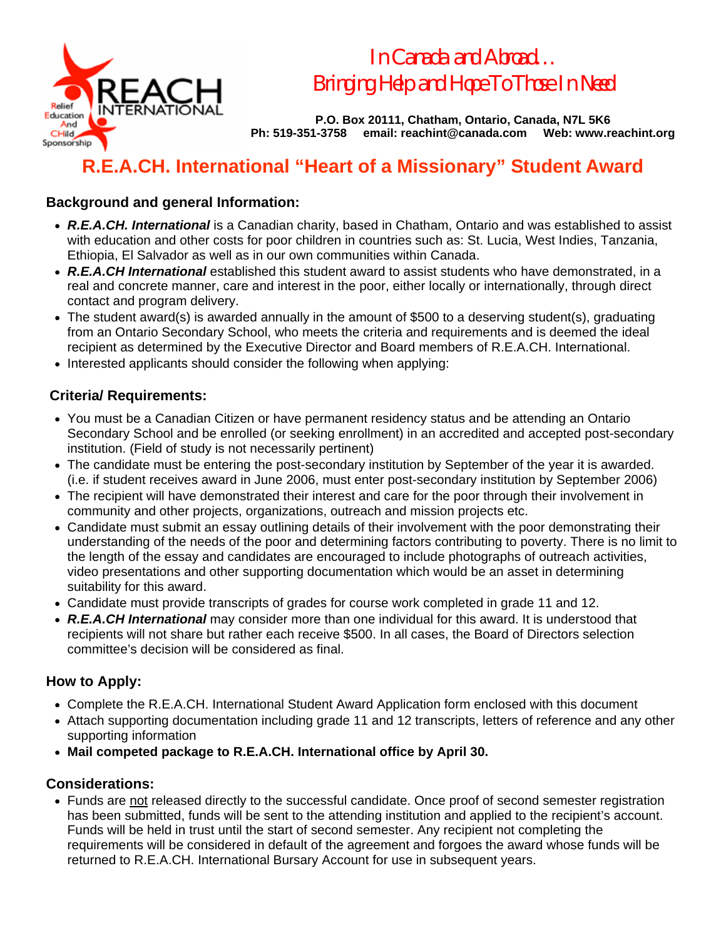

*In Canada and Abroad… Bringing Help and Hope To Those In Need* 

**P.O. Box 20111, Chatham, Ontario, Canada, N7L 5K6 Ph: 519-351-3758 email: reachint@canada.com Web: www.reachint.org** 

## **R.E.A.CH. International "Heart of a Missionary" Student Award**

## **Background and general Information:**

- *R.E.A.CH. International* is a Canadian charity, based in Chatham, Ontario and was established to assist with education and other costs for poor children in countries such as: St. Lucia, West Indies, Tanzania, Ethiopia, El Salvador as well as in our own communities within Canada.
- *R.E.A.CH International* established this student award to assist students who have demonstrated, in a real and concrete manner, care and interest in the poor, either locally or internationally, through direct contact and program delivery.
- The student award(s) is awarded annually in the amount of \$500 to a deserving student(s), graduating from an Ontario Secondary School, who meets the criteria and requirements and is deemed the ideal recipient as determined by the Executive Director and Board members of R.E.A.CH. International.
- Interested applicants should consider the following when applying:

## **Criteria/ Requirements:**

- You must be a Canadian Citizen or have permanent residency status and be attending an Ontario Secondary School and be enrolled (or seeking enrollment) in an accredited and accepted post-secondary institution. (Field of study is not necessarily pertinent)
- The candidate must be entering the post-secondary institution by September of the year it is awarded. (i.e. if student receives award in June 2006, must enter post-secondary institution by September 2006)
- The recipient will have demonstrated their interest and care for the poor through their involvement in community and other projects, organizations, outreach and mission projects etc.
- Candidate must submit an essay outlining details of their involvement with the poor demonstrating their understanding of the needs of the poor and determining factors contributing to poverty. There is no limit to the length of the essay and candidates are encouraged to include photographs of outreach activities, video presentations and other supporting documentation which would be an asset in determining suitability for this award.
- Candidate must provide transcripts of grades for course work completed in grade 11 and 12.
- *R.E.A.CH International* may consider more than one individual for this award. It is understood that recipients will not share but rather each receive \$500. In all cases, the Board of Directors selection committee's decision will be considered as final.

## **How to Apply:**

- Complete the R.E.A.CH. International Student Award Application form enclosed with this document
- Attach supporting documentation including grade 11 and 12 transcripts, letters of reference and any other supporting information
- **Mail competed package to R.E.A.CH. International office by April 30.**

## **Considerations:**

• Funds are not released directly to the successful candidate. Once proof of second semester registration has been submitted, funds will be sent to the attending institution and applied to the recipient's account. Funds will be held in trust until the start of second semester. Any recipient not completing the requirements will be considered in default of the agreement and forgoes the award whose funds will be returned to R.E.A.CH. International Bursary Account for use in subsequent years.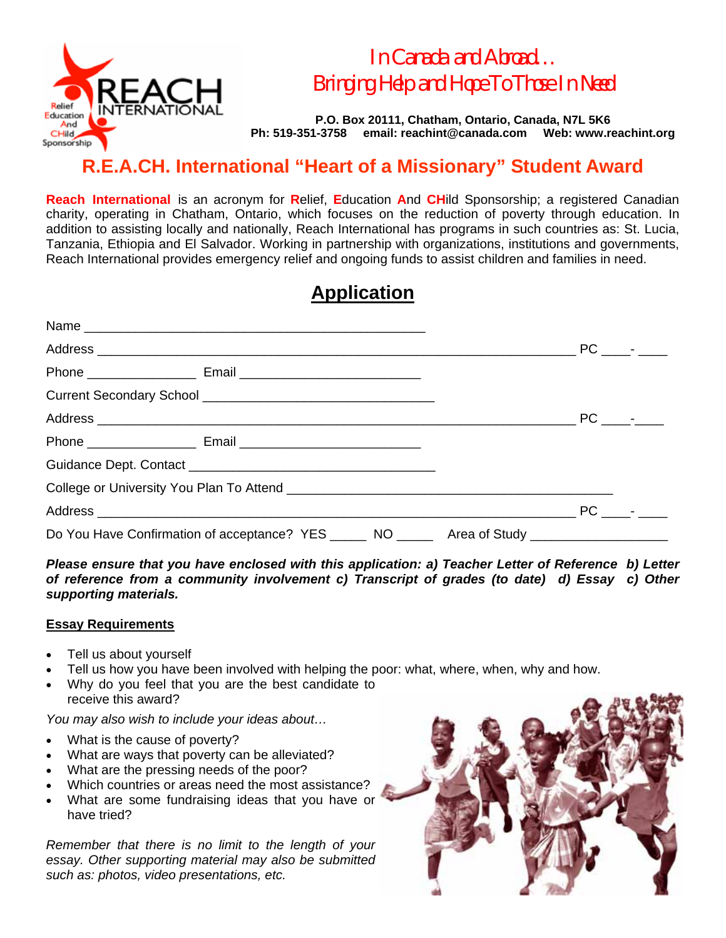

*In Canada and Abroad… Bringing Help and Hope To Those In Need* 

**P.O. Box 20111, Chatham, Ontario, Canada, N7L 5K6 Ph: 519-351-3758 email: reachint@canada.com Web: www.reachint.org** 

## **R.E.A.CH. International "Heart of a Missionary" Student Award**

**Reach International** is an acronym for **R**elief, **E**ducation **A**nd **CH**ild Sponsorship; a registered Canadian charity, operating in Chatham, Ontario, which focuses on the reduction of poverty through education. In addition to assisting locally and nationally, Reach International has programs in such countries as: St. Lucia, Tanzania, Ethiopia and El Salvador. Working in partnership with organizations, institutions and governments, Reach International provides emergency relief and ongoing funds to assist children and families in need.

## **Application**

|                                                                                                | PC - |  |
|------------------------------------------------------------------------------------------------|------|--|
| Do You Have Confirmation of acceptance? YES ______ NO ______ Area of Study ___________________ |      |  |

*Please ensure that you have enclosed with this application: a) Teacher Letter of Reference b) Letter of reference from a community involvement c) Transcript of grades (to date) d) Essay c) Other supporting materials.* 

#### **Essay Requirements**

- Tell us about yourself
- Tell us how you have been involved with helping the poor: what, where, when, why and how.
- Why do you feel that you are the best candidate to receive this award?

*You may also wish to include your ideas about…* 

- What is the cause of poverty?
- What are ways that poverty can be alleviated?
- What are the pressing needs of the poor?
- Which countries or areas need the most assistance?
- What are some fundraising ideas that you have or have tried?

*Remember that there is no limit to the length of your essay. Other supporting material may also be submitted such as: photos, video presentations, etc.*